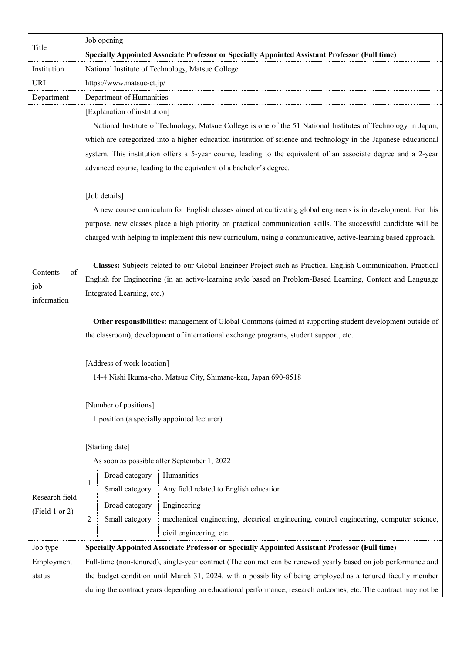| Title                                | Job opening                                                                                                                                                                                                                                                                                                                                                                                                                                                                                                                                                                                                                                                                                                                                                                                                                                                                                                                                                                                                                                                                                                                                                                                                                                                                                                                                                                                                                                                                                                                             |
|--------------------------------------|-----------------------------------------------------------------------------------------------------------------------------------------------------------------------------------------------------------------------------------------------------------------------------------------------------------------------------------------------------------------------------------------------------------------------------------------------------------------------------------------------------------------------------------------------------------------------------------------------------------------------------------------------------------------------------------------------------------------------------------------------------------------------------------------------------------------------------------------------------------------------------------------------------------------------------------------------------------------------------------------------------------------------------------------------------------------------------------------------------------------------------------------------------------------------------------------------------------------------------------------------------------------------------------------------------------------------------------------------------------------------------------------------------------------------------------------------------------------------------------------------------------------------------------------|
|                                      | Specially Appointed Associate Professor or Specially Appointed Assistant Professor (Full time)                                                                                                                                                                                                                                                                                                                                                                                                                                                                                                                                                                                                                                                                                                                                                                                                                                                                                                                                                                                                                                                                                                                                                                                                                                                                                                                                                                                                                                          |
| Institution                          | National Institute of Technology, Matsue College                                                                                                                                                                                                                                                                                                                                                                                                                                                                                                                                                                                                                                                                                                                                                                                                                                                                                                                                                                                                                                                                                                                                                                                                                                                                                                                                                                                                                                                                                        |
| <b>URL</b>                           | https://www.matsue-ct.jp/                                                                                                                                                                                                                                                                                                                                                                                                                                                                                                                                                                                                                                                                                                                                                                                                                                                                                                                                                                                                                                                                                                                                                                                                                                                                                                                                                                                                                                                                                                               |
| Department                           | Department of Humanities                                                                                                                                                                                                                                                                                                                                                                                                                                                                                                                                                                                                                                                                                                                                                                                                                                                                                                                                                                                                                                                                                                                                                                                                                                                                                                                                                                                                                                                                                                                |
| of<br>Contents<br>job<br>information | [Explanation of institution]<br>National Institute of Technology, Matsue College is one of the 51 National Institutes of Technology in Japan,<br>which are categorized into a higher education institution of science and technology in the Japanese educational<br>system. This institution offers a 5-year course, leading to the equivalent of an associate degree and a 2-year<br>advanced course, leading to the equivalent of a bachelor's degree.<br>[Job details]<br>A new course curriculum for English classes aimed at cultivating global engineers is in development. For this<br>purpose, new classes place a high priority on practical communication skills. The successful candidate will be<br>charged with helping to implement this new curriculum, using a communicative, active-learning based approach.<br>Classes: Subjects related to our Global Engineer Project such as Practical English Communication, Practical<br>English for Engineering (in an active-learning style based on Problem-Based Learning, Content and Language<br>Integrated Learning, etc.)<br>Other responsibilities: management of Global Commons (aimed at supporting student development outside of<br>the classroom), development of international exchange programs, student support, etc.<br>[Address of work location]<br>14-4 Nishi Ikuma-cho, Matsue City, Shimane-ken, Japan 690-8518<br>[Number of positions]<br>1 position (a specially appointed lecturer)<br>[Starting date]<br>As soon as possible after September 1, 2022 |
| Research field<br>(Field 1 or 2)     | Humanities<br>Broad category<br>1<br>Small category<br>Any field related to English education                                                                                                                                                                                                                                                                                                                                                                                                                                                                                                                                                                                                                                                                                                                                                                                                                                                                                                                                                                                                                                                                                                                                                                                                                                                                                                                                                                                                                                           |
|                                      | Broad category<br>Engineering<br>2<br>Small category<br>mechanical engineering, electrical engineering, control engineering, computer science,<br>civil engineering, etc.                                                                                                                                                                                                                                                                                                                                                                                                                                                                                                                                                                                                                                                                                                                                                                                                                                                                                                                                                                                                                                                                                                                                                                                                                                                                                                                                                               |
| Job type                             | Specially Appointed Associate Professor or Specially Appointed Assistant Professor (Full time)                                                                                                                                                                                                                                                                                                                                                                                                                                                                                                                                                                                                                                                                                                                                                                                                                                                                                                                                                                                                                                                                                                                                                                                                                                                                                                                                                                                                                                          |
| Employment<br>status                 | Full-time (non-tenured), single-year contract (The contract can be renewed yearly based on job performance and<br>the budget condition until March 31, 2024, with a possibility of being employed as a tenured faculty member<br>during the contract years depending on educational performance, research outcomes, etc. The contract may not be                                                                                                                                                                                                                                                                                                                                                                                                                                                                                                                                                                                                                                                                                                                                                                                                                                                                                                                                                                                                                                                                                                                                                                                        |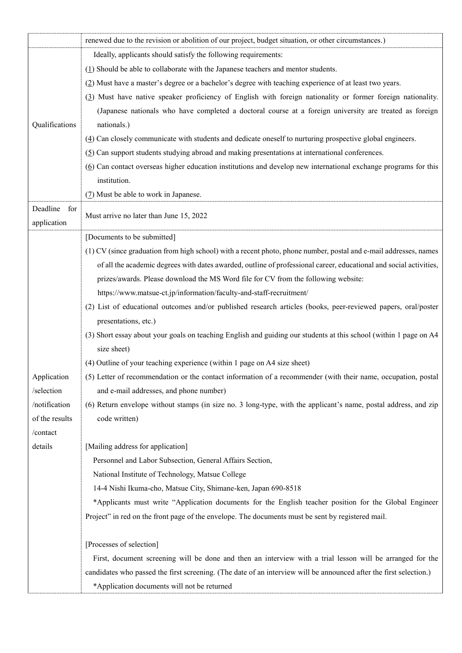|                                 | renewed due to the revision or abolition of our project, budget situation, or other circumstances.)                |
|---------------------------------|--------------------------------------------------------------------------------------------------------------------|
|                                 | Ideally, applicants should satisfy the following requirements:                                                     |
|                                 | $(1)$ Should be able to collaborate with the Japanese teachers and mentor students.                                |
|                                 | (2) Must have a master's degree or a bachelor's degree with teaching experience of at least two years.             |
|                                 | (3) Must have native speaker proficiency of English with foreign nationality or former foreign nationality.        |
|                                 | (Japanese nationals who have completed a doctoral course at a foreign university are treated as foreign            |
| Qualifications                  | nationals.)                                                                                                        |
|                                 | $(4)$ Can closely communicate with students and dedicate oneself to nurturing prospective global engineers.        |
|                                 | $(5)$ Can support students studying abroad and making presentations at international conferences.                  |
|                                 | (6) Can contact overseas higher education institutions and develop new international exchange programs for this    |
|                                 | institution.                                                                                                       |
|                                 | (7) Must be able to work in Japanese.                                                                              |
| Deadline<br>for                 | Must arrive no later than June 15, 2022                                                                            |
| application                     |                                                                                                                    |
|                                 | [Documents to be submitted]                                                                                        |
|                                 | (1) CV (since graduation from high school) with a recent photo, phone number, postal and e-mail addresses, names   |
|                                 | of all the academic degrees with dates awarded, outline of professional career, educational and social activities, |
|                                 | prizes/awards. Please download the MS Word file for CV from the following website:                                 |
|                                 | https://www.matsue-ct.jp/information/faculty-and-staff-recruitment/                                                |
|                                 | (2) List of educational outcomes and/or published research articles (books, peer-reviewed papers, oral/poster      |
|                                 | presentations, etc.)                                                                                               |
|                                 | (3) Short essay about your goals on teaching English and guiding our students at this school (within 1 page on A4  |
|                                 | size sheet)                                                                                                        |
|                                 | (4) Outline of your teaching experience (within 1 page on A4 size sheet)                                           |
| Application                     | (5) Letter of recommendation or the contact information of a recommender (with their name, occupation, postal      |
| /selection                      | and e-mail addresses, and phone number)                                                                            |
| /notification<br>of the results | (6) Return envelope without stamps (in size no. 3 long-type, with the applicant's name, postal address, and zip    |
| /contact                        | code written)                                                                                                      |
| details                         | [Mailing address for application]                                                                                  |
|                                 | Personnel and Labor Subsection, General Affairs Section,                                                           |
|                                 | National Institute of Technology, Matsue College                                                                   |
|                                 | 14-4 Nishi Ikuma-cho, Matsue City, Shimane-ken, Japan 690-8518                                                     |
|                                 | *Applicants must write "Application documents for the English teacher position for the Global Engineer             |
|                                 | Project" in red on the front page of the envelope. The documents must be sent by registered mail.                  |
|                                 | [Processes of selection]                                                                                           |
|                                 | First, document screening will be done and then an interview with a trial lesson will be arranged for the          |
|                                 | candidates who passed the first screening. (The date of an interview will be announced after the first selection.) |
|                                 | *Application documents will not be returned                                                                        |